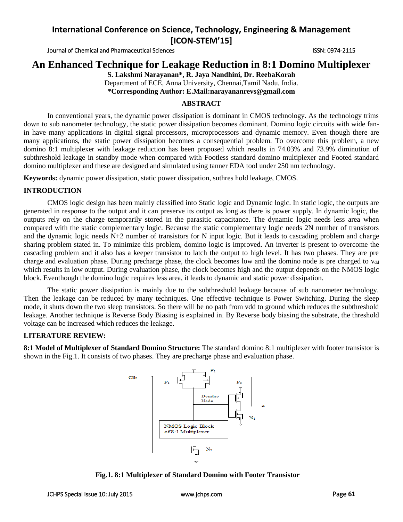Journal of Chemical and Pharmaceutical Sciences ISSN: 0974-2115

# **An Enhanced Technique for Leakage Reduction in 8:1 Domino Multiplexer**

**S. Lakshmi Narayanan\*, R. Jaya Nandhini, Dr. ReebaKorah** Department of ECE, Anna University, Chennai,Tamil Nadu, India. **\*Corresponding Author: E.Mail:narayananrevs@gmail.com**

## **ABSTRACT**

In conventional years, the dynamic power dissipation is dominant in CMOS technology. As the technology trims down to sub nanometer technology, the static power dissipation becomes dominant. Domino logic circuits with wide fanin have many applications in digital signal processors, microprocessors and dynamic memory. Even though there are many applications, the static power dissipation becomes a consequential problem. To overcome this problem, a new domino 8:1 multiplexer with leakage reduction has been proposed which results in 74.03% and 73.9% diminution of subthreshold leakage in standby mode when compared with Footless standard domino multiplexer and Footed standard domino multiplexer and these are designed and simulated using tanner EDA tool under 250 nm technology.

**Keywords:** dynamic power dissipation, static power dissipation, suthres hold leakage, CMOS.

## **INTRODUCTION**

CMOS logic design has been mainly classified into Static logic and Dynamic logic. In static logic, the outputs are generated in response to the output and it can preserve its output as long as there is power supply. In dynamic logic, the outputs rely on the charge temporarily stored in the parasitic capacitance. The dynamic logic needs less area when compared with the static complementary logic. Because the static complementary logic needs 2N number of transistors and the dynamic logic needs N+2 number of transistors for N input logic. But it leads to cascading problem and charge sharing problem stated in. To minimize this problem, domino logic is improved. An inverter is present to overcome the cascading problem and it also has a keeper transistor to latch the output to high level. It has two phases. They are pre charge and evaluation phase. During precharge phase, the clock becomes low and the domino node is pre charged to v<sub>dd</sub> which results in low output. During evaluation phase, the clock becomes high and the output depends on the NMOS logic block. Eventhough the domino logic requires less area, it leads to dynamic and static power dissipation.

The static power dissipation is mainly due to the subthreshold leakage because of sub nanometer technology. Then the leakage can be reduced by many techniques. One effective technique is Power Switching. During the sleep mode, it shuts down the two sleep transistors. So there will be no path from vdd to ground which reduces the subthreshold leakage. Another technique is Reverse Body Biasing is explained in. By Reverse body biasing the substrate, the threshold voltage can be increased which reduces the leakage.

### **LITERATURE REVIEW:**

**8:1 Model of Multiplexer of Standard Domino Structure:** The standard domino 8:1 multiplexer with footer transistor is shown in the Fig.1. It consists of two phases. They are precharge phase and evaluation phase.



**Fig.1. 8:1 Multiplexer of Standard Domino with Footer Transistor**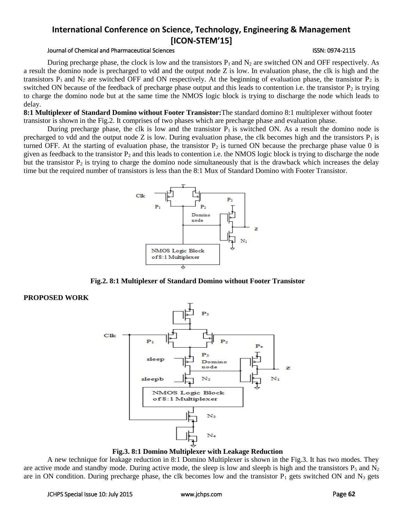### Journal of Chemical and Pharmaceutical Sciences ISSN: 0974-2115

During precharge phase, the clock is low and the transistors  $P_1$  and  $N_2$  are switched ON and OFF respectively. As a result the domino node is precharged to vdd and the output node Z is low. In evaluation phase, the clk is high and the transistors  $P_1$  and  $N_2$  are switched OFF and ON respectively. At the beginning of evaluation phase, the transistor  $P_2$  is switched ON because of the feedback of precharge phase output and this leads to contention i.e. the transistor  $P_2$  is trying to charge the domino node but at the same time the NMOS logic block is trying to discharge the node which leads to delay.

**8:1 Multiplexer of Standard Domino without Footer Transistor:**The standard domino 8:1 multiplexer without footer transistor is shown in the Fig.2. It comprises of two phases which are precharge phase and evaluation phase.

During precharge phase, the clk is low and the transistor  $P_1$  is switched ON. As a result the domino node is precharged to vdd and the output node Z is low. During evaluation phase, the clk becomes high and the transistors  $P_1$  is turned OFF. At the starting of evaluation phase, the transistor  $P_2$  is turned ON because the precharge phase value 0 is given as feedback to the transistor  $P_2$  and this leads to contention i.e. the NMOS logic block is trying to discharge the node but the transistor  $P_2$  is trying to charge the domino node simultaneously that is the drawback which increases the delay time but the required number of transistors is less than the 8:1 Mux of Standard Domino with Footer Transistor.



**Fig.2. 8:1 Multiplexer of Standard Domino without Footer Transistor**

## **PROPOSED WORK**



**Fig.3. 8:1 Domino Multiplexer with Leakage Reduction**

A new technique for leakage reduction in 8:1 Domino Multiplexer is shown in the Fig.3. It has two modes. They are active mode and standby mode. During active mode, the sleep is low and sleepb is high and the transistors  $P_5$  and  $N_2$ are in ON condition. During precharge phase, the clk becomes low and the transistor  $P_1$  gets switched ON and  $N_3$  gets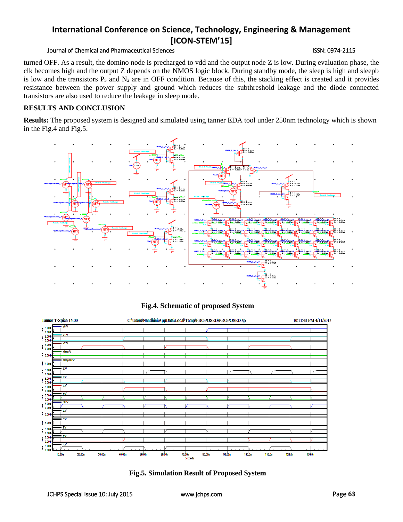## Journal of Chemical and Pharmaceutical Sciences **ISSN: 0974-2115** ISSN: 0974-2115

turned OFF. As a result, the domino node is precharged to vdd and the output node Z is low. During evaluation phase, the clk becomes high and the output Z depends on the NMOS logic block. During standby mode, the sleep is high and sleepb is low and the transistors  $P_5$  and  $N_2$  are in OFF condition. Because of this, the stacking effect is created and it provides resistance between the power supply and ground which reduces the subthreshold leakage and the diode connected transistors are also used to reduce the leakage in sleep mode.

## **RESULTS AND CONCLUSION**

**Results:** The proposed system is designed and simulated using tanner EDA tool under 250nm technology which is shown in the Fig.4 and Fig.5.





**Fig.4. Schematic of proposed System**

**Fig.5. Simulation Result of Proposed System**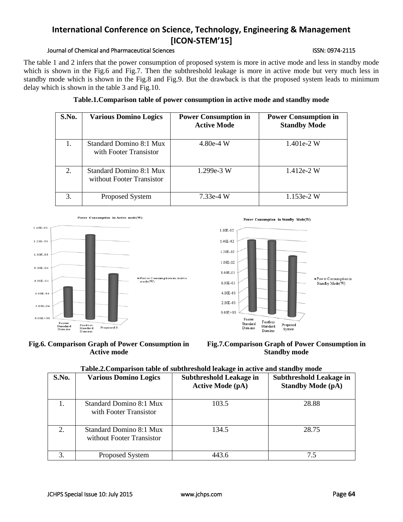## Journal of Chemical and Pharmaceutical Sciences **ISSN: 0974-2115** ISSN: 0974-2115

The table 1 and 2 infers that the power consumption of proposed system is more in active mode and less in standby mode which is shown in the Fig.6 and Fig.7. Then the subthreshold leakage is more in active mode but very much less in standby mode which is shown in the Fig.8 and Fig.9. But the drawback is that the proposed system leads to minimum delay which is shown in the table 3 and Fig.10.

| S.No.                       | <b>Various Domino Logics</b>                         | <b>Power Consumption in</b><br><b>Active Mode</b> | <b>Power Consumption in</b><br><b>Standby Mode</b> |
|-----------------------------|------------------------------------------------------|---------------------------------------------------|----------------------------------------------------|
|                             | Standard Domino 8:1 Mux<br>with Footer Transistor    | $4.80e-4$ W                                       | $1.401e-2$ W                                       |
| $\mathcal{D}_{\mathcal{L}}$ | Standard Domino 8:1 Mux<br>without Footer Transistor | $1.299e-3$ W                                      | $1.412e-2$ W                                       |
| 3.                          | Proposed System                                      | $7.33e-4$ W                                       | $1.153e-2$ W                                       |









**Fig.7.Comparison Graph of Power Consumption in Standby mode**

| Table.2. Comparison table of subthreshold leakage in active and standby mode |
|------------------------------------------------------------------------------|
|                                                                              |

| S.No. | <b>Various Domino Logics</b>                         | <b>Subthreshold Leakage in</b><br><b>Active Mode (pA)</b> | <b>Subthreshold Leakage in</b><br><b>Standby Mode (pA)</b> |
|-------|------------------------------------------------------|-----------------------------------------------------------|------------------------------------------------------------|
|       | Standard Domino 8:1 Mux<br>with Footer Transistor    | 103.5                                                     | 28.88                                                      |
| 2.    | Standard Domino 8:1 Mux<br>without Footer Transistor | 134.5                                                     | 28.75                                                      |
| 3.    | Proposed System                                      | 443.6                                                     | 7.5                                                        |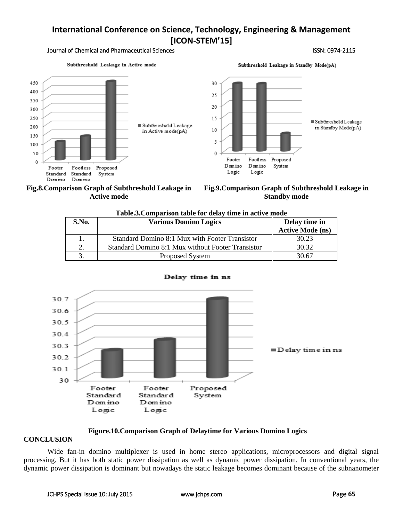30

25

20

15

 $10$ 

5

 $\theta$ 

Footer

Domino

Logic

Footless

Domino

Logic

#### Journal of Chemical and Pharmaceutical Sciences ISSN: 0974-2115

**■ Subthreshold Leakage** 

in Standby Mode(pA)

Subthreshold Leakage in Active mode







Proposed

System

Subthreshold Leakage in Standby Mode(pA)

| S.No. | <b>Various Domino Logics</b>                      | Delay time in<br><b>Active Mode (ns)</b> |
|-------|---------------------------------------------------|------------------------------------------|
|       | Standard Domino 8:1 Mux with Footer Transistor    | 30.23                                    |
|       | Standard Domino 8:1 Mux without Footer Transistor | 30.32                                    |
|       | Proposed System                                   | 30.67                                    |





### Delay time in ns

## **Figure.10.Comparison Graph of Delaytime for Various Domino Logics**

### **CONCLUSION**

Wide fan-in domino multiplexer is used in home stereo applications, microprocessors and digital signal processing. But it has both static power dissipation as well as dynamic power dissipation. In conventional years, the dynamic power dissipation is dominant but nowadays the static leakage becomes dominant because of the subnanometer